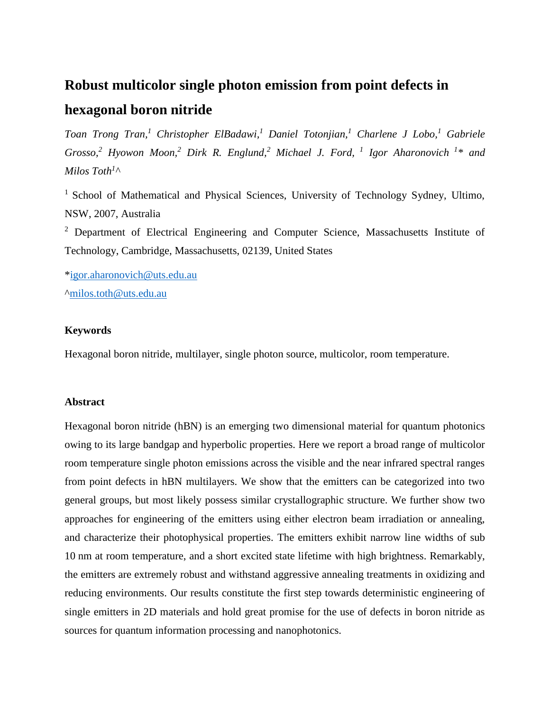# **Robust multicolor single photon emission from point defects in hexagonal boron nitride**

*Toan Trong Tran,<sup>1</sup> Christopher ElBadawi, <sup>1</sup> Daniel Totonjian,<sup>1</sup> Charlene J Lobo,<sup>1</sup> Gabriele Grosso, <sup>2</sup> Hyowon Moon, <sup>2</sup> Dirk R. Englund, <sup>2</sup> Michael J. Ford, 1 Igor Aharonovich <sup>1</sup> \* and Milos Toth<sup>1</sup> ^*

<sup>1</sup> School of Mathematical and Physical Sciences, University of Technology Sydney, Ultimo, NSW, 2007, Australia

<sup>2</sup> Department of Electrical Engineering and Computer Science, Massachusetts Institute of Technology, Cambridge, Massachusetts, 02139, United States

[\\*igor.aharonovich@uts.edu.au](mailto:igor.aharonovich@uts.edu.au) [^milos.toth@uts.edu.au](mailto:milos.toth@uts.edu.au)

# **Keywords**

Hexagonal boron nitride, multilayer, single photon source, multicolor, room temperature.

# **Abstract**

Hexagonal boron nitride (hBN) is an emerging two dimensional material for quantum photonics owing to its large bandgap and hyperbolic properties. Here we report a broad range of multicolor room temperature single photon emissions across the visible and the near infrared spectral ranges from point defects in hBN multilayers. We show that the emitters can be categorized into two general groups, but most likely possess similar crystallographic structure. We further show two approaches for engineering of the emitters using either electron beam irradiation or annealing, and characterize their photophysical properties. The emitters exhibit narrow line widths of sub 10 nm at room temperature, and a short excited state lifetime with high brightness. Remarkably, the emitters are extremely robust and withstand aggressive annealing treatments in oxidizing and reducing environments. Our results constitute the first step towards deterministic engineering of single emitters in 2D materials and hold great promise for the use of defects in boron nitride as sources for quantum information processing and nanophotonics.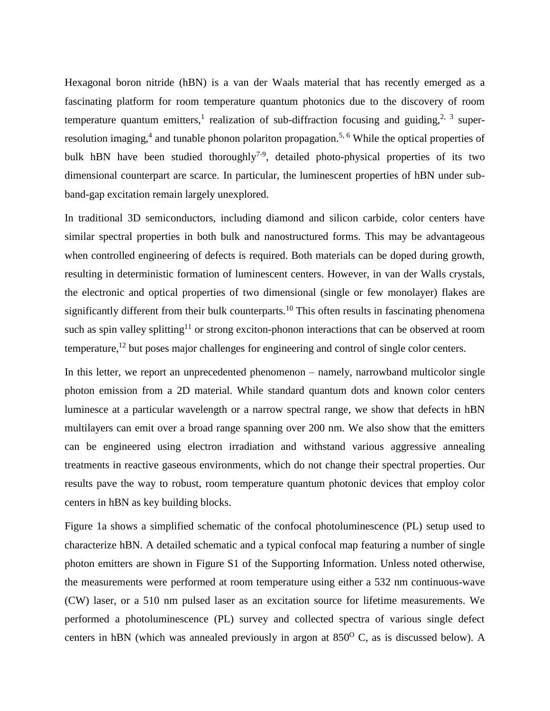Hexagonal boron nitride (hBN) is a van der Waals material that has recently emerged as a fascinating platform for room temperature quantum photonics due to the discovery of room temperature quantum emitters,<sup>1</sup> realization of sub-diffraction focusing and guiding,<sup>2, 3</sup> superresolution imaging,<sup>4</sup> and tunable phonon polariton propagation.<sup>5, 6</sup> While the optical properties of bulk hBN have been studied thoroughly<sup>7-9</sup>, detailed photo-physical properties of its two dimensional counterpart are scarce. In particular, the luminescent properties of hBN under subband-gap excitation remain largely unexplored.

In traditional 3D semiconductors, including diamond and silicon carbide, color centers have similar spectral properties in both bulk and nanostructured forms. This may be advantageous when controlled engineering of defects is required. Both materials can be doped during growth, resulting in deterministic formation of luminescent centers. However, in van der Walls crystals, the electronic and optical properties of two dimensional (single or few monolayer) flakes are significantly different from their bulk counterparts.<sup>10</sup> This often results in fascinating phenomena such as spin valley splitting<sup>11</sup> or strong exciton-phonon interactions that can be observed at room temperature,<sup>12</sup> but poses major challenges for engineering and control of single color centers.

In this letter, we report an unprecedented phenomenon – namely, narrowband multicolor single photon emission from a 2D material. While standard quantum dots and known color centers luminesce at a particular wavelength or a narrow spectral range, we show that defects in hBN multilayers can emit over a broad range spanning over 200 nm. We also show that the emitters can be engineered using electron irradiation and withstand various aggressive annealing treatments in reactive gaseous environments, which do not change their spectral properties. Our results pave the way to robust, room temperature quantum photonic devices that employ color centers in hBN as key building blocks.

Figure 1a shows a simplified schematic of the confocal photoluminescence (PL) setup used to characterize hBN. A detailed schematic and a typical confocal map featuring a number of single photon emitters are shown in Figure S1 of the Supporting Information. Unless noted otherwise, the measurements were performed at room temperature using either a 532 nm continuous-wave (CW) laser, or a 510 nm pulsed laser as an excitation source for lifetime measurements. We performed a photoluminescence (PL) survey and collected spectra of various single defect centers in hBN (which was annealed previously in argon at  $850^{\circ}$  C, as is discussed below). A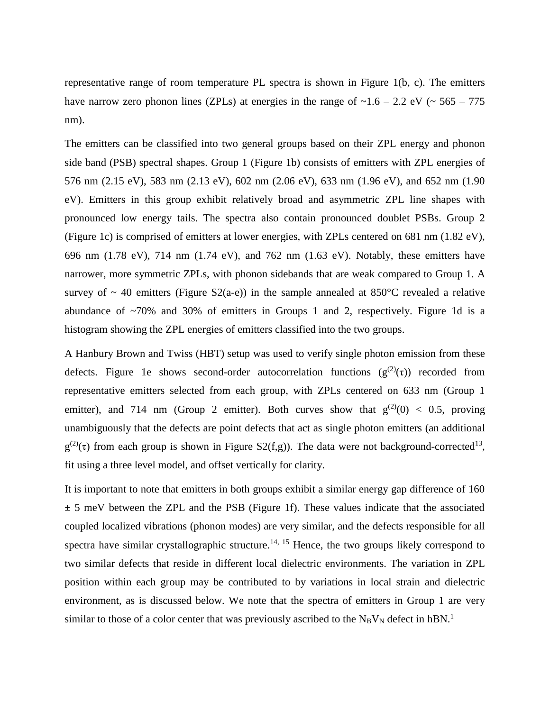representative range of room temperature PL spectra is shown in Figure 1(b, c). The emitters have narrow zero phonon lines (ZPLs) at energies in the range of  $\sim 1.6 - 2.2$  eV ( $\sim 565 - 775$ nm).

The emitters can be classified into two general groups based on their ZPL energy and phonon side band (PSB) spectral shapes. Group 1 (Figure 1b) consists of emitters with ZPL energies of 576 nm (2.15 eV), 583 nm (2.13 eV), 602 nm (2.06 eV), 633 nm (1.96 eV), and 652 nm (1.90 eV). Emitters in this group exhibit relatively broad and asymmetric ZPL line shapes with pronounced low energy tails. The spectra also contain pronounced doublet PSBs. Group 2 (Figure 1c) is comprised of emitters at lower energies, with ZPLs centered on 681 nm (1.82 eV), 696 nm (1.78 eV), 714 nm (1.74 eV), and 762 nm (1.63 eV). Notably, these emitters have narrower, more symmetric ZPLs, with phonon sidebands that are weak compared to Group 1. A survey of  $\sim$  40 emitters (Figure S2(a-e)) in the sample annealed at 850°C revealed a relative abundance of  $\sim$ 70% and 30% of emitters in Groups 1 and 2, respectively. Figure 1d is a histogram showing the ZPL energies of emitters classified into the two groups.

A Hanbury Brown and Twiss (HBT) setup was used to verify single photon emission from these defects. Figure 1e shows second-order autocorrelation functions ( $g^{(2)}(\tau)$ ) recorded from representative emitters selected from each group, with ZPLs centered on 633 nm (Group 1 emitter), and 714 nm (Group 2 emitter). Both curves show that  $g^{(2)}(0) < 0.5$ , proving unambiguously that the defects are point defects that act as single photon emitters (an additional  $g^{(2)}(\tau)$  from each group is shown in Figure S2(f,g)). The data were not background-corrected<sup>13</sup>, fit using a three level model, and offset vertically for clarity.

It is important to note that emitters in both groups exhibit a similar energy gap difference of 160  $\pm$  5 meV between the ZPL and the PSB (Figure 1f). These values indicate that the associated coupled localized vibrations (phonon modes) are very similar, and the defects responsible for all spectra have similar crystallographic structure.<sup>14, 15</sup> Hence, the two groups likely correspond to two similar defects that reside in different local dielectric environments. The variation in ZPL position within each group may be contributed to by variations in local strain and dielectric environment, as is discussed below. We note that the spectra of emitters in Group 1 are very similar to those of a color center that was previously ascribed to the  $N_BV_N$  defect in hBN.<sup>1</sup>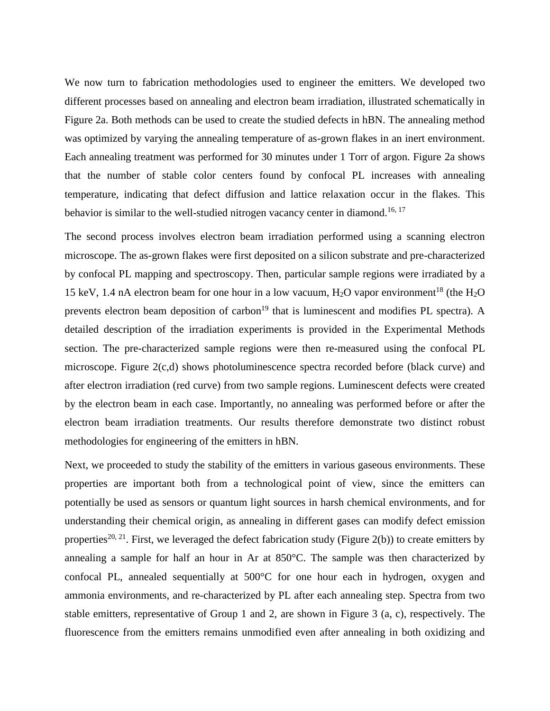We now turn to fabrication methodologies used to engineer the emitters. We developed two different processes based on annealing and electron beam irradiation, illustrated schematically in Figure 2a. Both methods can be used to create the studied defects in hBN. The annealing method was optimized by varying the annealing temperature of as-grown flakes in an inert environment. Each annealing treatment was performed for 30 minutes under 1 Torr of argon. Figure 2a shows that the number of stable color centers found by confocal PL increases with annealing temperature, indicating that defect diffusion and lattice relaxation occur in the flakes. This behavior is similar to the well-studied nitrogen vacancy center in diamond.<sup>16, 17</sup>

The second process involves electron beam irradiation performed using a scanning electron microscope. The as-grown flakes were first deposited on a silicon substrate and pre-characterized by confocal PL mapping and spectroscopy. Then, particular sample regions were irradiated by a 15 keV, 1.4 nA electron beam for one hour in a low vacuum,  $H_2O$  vapor environment<sup>18</sup> (the  $H_2O$ prevents electron beam deposition of carbon<sup>19</sup> that is luminescent and modifies PL spectra). A detailed description of the irradiation experiments is provided in the Experimental Methods section. The pre-characterized sample regions were then re-measured using the confocal PL microscope. Figure 2(c,d) shows photoluminescence spectra recorded before (black curve) and after electron irradiation (red curve) from two sample regions. Luminescent defects were created by the electron beam in each case. Importantly, no annealing was performed before or after the electron beam irradiation treatments. Our results therefore demonstrate two distinct robust methodologies for engineering of the emitters in hBN.

Next, we proceeded to study the stability of the emitters in various gaseous environments. These properties are important both from a technological point of view, since the emitters can potentially be used as sensors or quantum light sources in harsh chemical environments, and for understanding their chemical origin, as annealing in different gases can modify defect emission properties<sup>20, 21</sup>. First, we leveraged the defect fabrication study (Figure 2(b)) to create emitters by annealing a sample for half an hour in Ar at 850°C. The sample was then characterized by confocal PL, annealed sequentially at 500°C for one hour each in hydrogen, oxygen and ammonia environments, and re-characterized by PL after each annealing step. Spectra from two stable emitters, representative of Group 1 and 2, are shown in Figure 3 (a, c), respectively. The fluorescence from the emitters remains unmodified even after annealing in both oxidizing and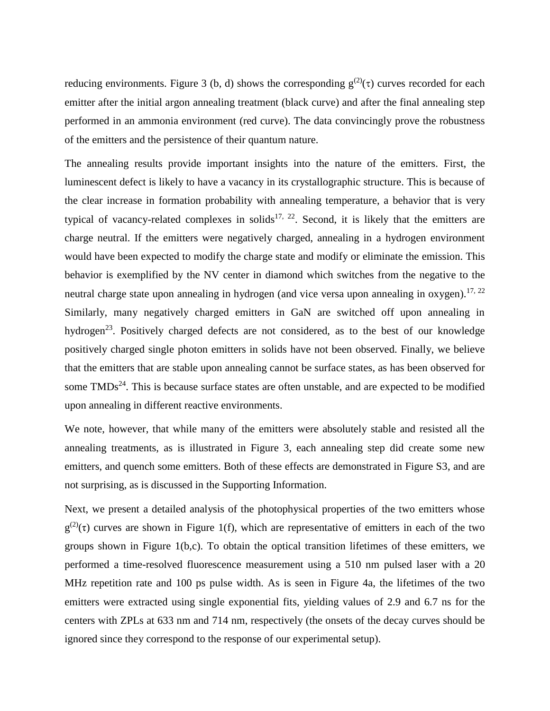reducing environments. Figure 3 (b, d) shows the corresponding  $g^{(2)}(\tau)$  curves recorded for each emitter after the initial argon annealing treatment (black curve) and after the final annealing step performed in an ammonia environment (red curve). The data convincingly prove the robustness of the emitters and the persistence of their quantum nature.

The annealing results provide important insights into the nature of the emitters. First, the luminescent defect is likely to have a vacancy in its crystallographic structure. This is because of the clear increase in formation probability with annealing temperature, a behavior that is very typical of vacancy-related complexes in solids<sup>17, 22</sup>. Second, it is likely that the emitters are charge neutral. If the emitters were negatively charged, annealing in a hydrogen environment would have been expected to modify the charge state and modify or eliminate the emission. This behavior is exemplified by the NV center in diamond which switches from the negative to the neutral charge state upon annealing in hydrogen (and vice versa upon annealing in oxygen).<sup>17, 22</sup> Similarly, many negatively charged emitters in GaN are switched off upon annealing in hydrogen<sup>23</sup>. Positively charged defects are not considered, as to the best of our knowledge positively charged single photon emitters in solids have not been observed. Finally, we believe that the emitters that are stable upon annealing cannot be surface states, as has been observed for some  $TMDs<sup>24</sup>$ . This is because surface states are often unstable, and are expected to be modified upon annealing in different reactive environments.

We note, however, that while many of the emitters were absolutely stable and resisted all the annealing treatments, as is illustrated in Figure 3, each annealing step did create some new emitters, and quench some emitters. Both of these effects are demonstrated in Figure S3, and are not surprising, as is discussed in the Supporting Information.

Next, we present a detailed analysis of the photophysical properties of the two emitters whose  $g^{(2)}(\tau)$  curves are shown in Figure 1(f), which are representative of emitters in each of the two groups shown in Figure 1(b,c). To obtain the optical transition lifetimes of these emitters, we performed a time-resolved fluorescence measurement using a 510 nm pulsed laser with a 20 MHz repetition rate and 100 ps pulse width. As is seen in Figure 4a, the lifetimes of the two emitters were extracted using single exponential fits, yielding values of 2.9 and 6.7 ns for the centers with ZPLs at 633 nm and 714 nm, respectively (the onsets of the decay curves should be ignored since they correspond to the response of our experimental setup).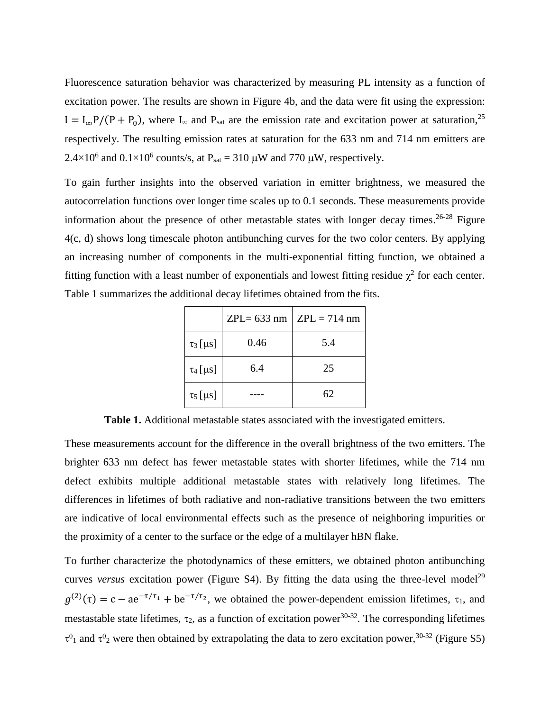Fluorescence saturation behavior was characterized by measuring PL intensity as a function of excitation power. The results are shown in Figure 4b, and the data were fit using the expression:  $I = I_{\infty}P/(P + P_0)$ , where  $I_{\infty}$  and  $P_{\text{sat}}$  are the emission rate and excitation power at saturation,<sup>25</sup> respectively. The resulting emission rates at saturation for the 633 nm and 714 nm emitters are  $2.4 \times 10^6$  and  $0.1 \times 10^6$  counts/s, at P<sub>sat</sub> = 310  $\mu$ W and 770  $\mu$ W, respectively.

To gain further insights into the observed variation in emitter brightness, we measured the autocorrelation functions over longer time scales up to 0.1 seconds. These measurements provide information about the presence of other metastable states with longer decay times. 26-28 Figure 4(c, d) shows long timescale photon antibunching curves for the two color centers. By applying an increasing number of components in the multi-exponential fitting function, we obtained a fitting function with a least number of exponentials and lowest fitting residue  $\chi^2$  for each center. Table 1 summarizes the additional decay lifetimes obtained from the fits.

|               |      | $ZPL = 633$ nm $ ZPL = 714$ nm |
|---------------|------|--------------------------------|
| $\tau_3$ [µs] | 0.46 | 5.4                            |
| $\tau_4$ [µs] | 6.4  | 25                             |
| $\tau_5$ [µs] |      | 62                             |

**Table 1.** Additional metastable states associated with the investigated emitters.

These measurements account for the difference in the overall brightness of the two emitters. The brighter 633 nm defect has fewer metastable states with shorter lifetimes, while the 714 nm defect exhibits multiple additional metastable states with relatively long lifetimes. The differences in lifetimes of both radiative and non-radiative transitions between the two emitters are indicative of local environmental effects such as the presence of neighboring impurities or the proximity of a center to the surface or the edge of a multilayer hBN flake.

To further characterize the photodynamics of these emitters, we obtained photon antibunching curves *versus* excitation power (Figure S4). By fitting the data using the three-level model<sup>29</sup>  $g^{(2)}(\tau) = c - a e^{-\tau/\tau_1} + b e^{-\tau/\tau_2}$ , we obtained the power-dependent emission lifetimes,  $\tau_1$ , and mestastable state lifetimes,  $\tau_2$ , as a function of excitation power<sup>30-32</sup>. The corresponding lifetimes  $\tau^{0}$ <sub>1</sub> and  $\tau^{0}$ <sub>2</sub> were then obtained by extrapolating the data to zero excitation power,<sup>30-32</sup> (Figure S5)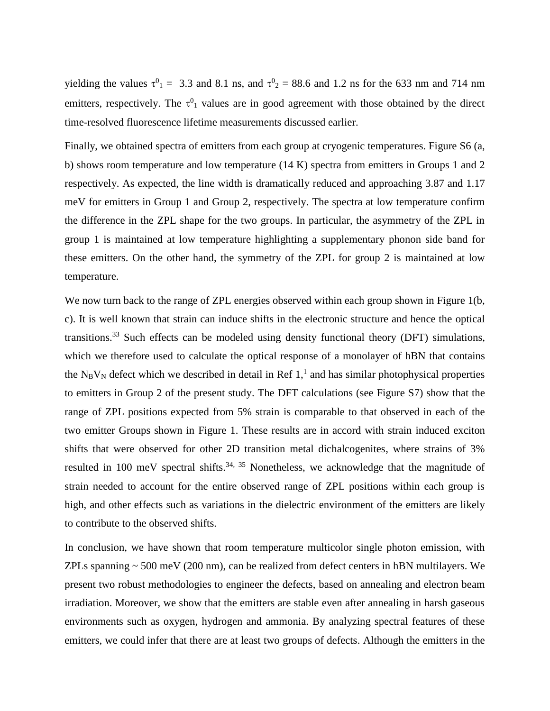yielding the values  $\tau^0$ <sub>1</sub> = 3.3 and 8.1 ns, and  $\tau^0$ <sub>2</sub> = 88.6 and 1.2 ns for the 633 nm and 714 nm emitters, respectively. The  $\tau^{0}$  values are in good agreement with those obtained by the direct time-resolved fluorescence lifetime measurements discussed earlier.

Finally, we obtained spectra of emitters from each group at cryogenic temperatures. Figure S6 (a, b) shows room temperature and low temperature (14 K) spectra from emitters in Groups 1 and 2 respectively. As expected, the line width is dramatically reduced and approaching 3.87 and 1.17 meV for emitters in Group 1 and Group 2, respectively. The spectra at low temperature confirm the difference in the ZPL shape for the two groups. In particular, the asymmetry of the ZPL in group 1 is maintained at low temperature highlighting a supplementary phonon side band for these emitters. On the other hand, the symmetry of the ZPL for group 2 is maintained at low temperature.

We now turn back to the range of ZPL energies observed within each group shown in Figure 1(b, c). It is well known that strain can induce shifts in the electronic structure and hence the optical transitions.<sup>33</sup> Such effects can be modeled using density functional theory (DFT) simulations, which we therefore used to calculate the optical response of a monolayer of hBN that contains the  $N_BV_N$  defect which we described in detail in Ref 1,<sup>1</sup> and has similar photophysical properties to emitters in Group 2 of the present study. The DFT calculations (see Figure S7) show that the range of ZPL positions expected from 5% strain is comparable to that observed in each of the two emitter Groups shown in Figure 1. These results are in accord with strain induced exciton shifts that were observed for other 2D transition metal dichalcogenites, where strains of 3% resulted in 100 meV spectral shifts.<sup>34, 35</sup> Nonetheless, we acknowledge that the magnitude of strain needed to account for the entire observed range of ZPL positions within each group is high, and other effects such as variations in the dielectric environment of the emitters are likely to contribute to the observed shifts.

In conclusion, we have shown that room temperature multicolor single photon emission, with ZPLs spanning  $\sim$  500 meV (200 nm), can be realized from defect centers in hBN multilayers. We present two robust methodologies to engineer the defects, based on annealing and electron beam irradiation. Moreover, we show that the emitters are stable even after annealing in harsh gaseous environments such as oxygen, hydrogen and ammonia. By analyzing spectral features of these emitters, we could infer that there are at least two groups of defects. Although the emitters in the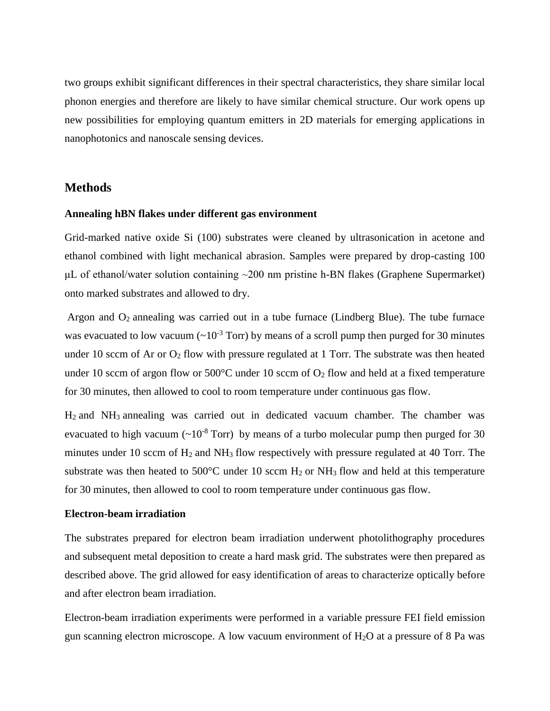two groups exhibit significant differences in their spectral characteristics, they share similar local phonon energies and therefore are likely to have similar chemical structure. Our work opens up new possibilities for employing quantum emitters in 2D materials for emerging applications in nanophotonics and nanoscale sensing devices.

## **Methods**

#### **Annealing hBN flakes under different gas environment**

Grid-marked native oxide Si (100) substrates were cleaned by ultrasonication in acetone and ethanol combined with light mechanical abrasion. Samples were prepared by drop-casting 100 μL of ethanol/water solution containing  $~200$  nm pristine h-BN flakes (Graphene Supermarket) onto marked substrates and allowed to dry.

Argon and  $O_2$  annealing was carried out in a tube furnace (Lindberg Blue). The tube furnace was evacuated to low vacuum  $({\sim}10^{-3}$  Torr) by means of a scroll pump then purged for 30 minutes under 10 sccm of Ar or  $O_2$  flow with pressure regulated at 1 Torr. The substrate was then heated under 10 sccm of argon flow or  $500^{\circ}$ C under 10 sccm of  $O_2$  flow and held at a fixed temperature for 30 minutes, then allowed to cool to room temperature under continuous gas flow.

H<sup>2</sup> and NH<sup>3</sup> annealing was carried out in dedicated vacuum chamber. The chamber was evacuated to high vacuum  $({\sim}10^{-8}$  Torr) by means of a turbo molecular pump then purged for 30 minutes under 10 sccm of  $H_2$  and  $NH_3$  flow respectively with pressure regulated at 40 Torr. The substrate was then heated to 500 $^{\circ}$ C under 10 sccm H<sub>2</sub> or NH<sub>3</sub> flow and held at this temperature for 30 minutes, then allowed to cool to room temperature under continuous gas flow.

#### **Electron-beam irradiation**

The substrates prepared for electron beam irradiation underwent photolithography procedures and subsequent metal deposition to create a hard mask grid. The substrates were then prepared as described above. The grid allowed for easy identification of areas to characterize optically before and after electron beam irradiation.

Electron-beam irradiation experiments were performed in a variable pressure FEI field emission gun scanning electron microscope. A low vacuum environment of  $H_2O$  at a pressure of 8 Pa was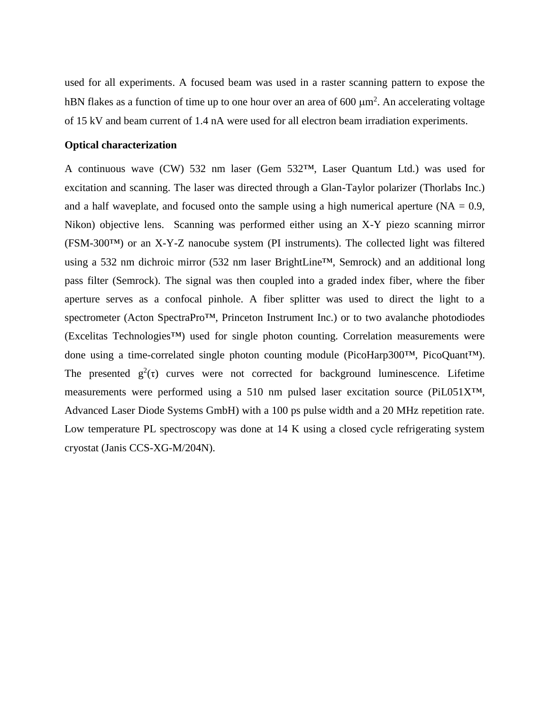used for all experiments. A focused beam was used in a raster scanning pattern to expose the hBN flakes as a function of time up to one hour over an area of 600  $\mu$ m<sup>2</sup>. An accelerating voltage of 15 kV and beam current of 1.4 nA were used for all electron beam irradiation experiments.

#### **Optical characterization**

A continuous wave (CW) 532 nm laser (Gem 532™, Laser Quantum Ltd.) was used for excitation and scanning. The laser was directed through a Glan-Taylor polarizer (Thorlabs Inc.) and a half waveplate, and focused onto the sample using a high numerical aperture ( $NA = 0.9$ , Nikon) objective lens. Scanning was performed either using an X-Y piezo scanning mirror (FSM-300™) or an X-Y-Z nanocube system (PI instruments). The collected light was filtered using a 532 nm dichroic mirror (532 nm laser BrightLine™, Semrock) and an additional long pass filter (Semrock). The signal was then coupled into a graded index fiber, where the fiber aperture serves as a confocal pinhole. A fiber splitter was used to direct the light to a spectrometer (Acton SpectraPro™, Princeton Instrument Inc.) or to two avalanche photodiodes (Excelitas Technologies™) used for single photon counting. Correlation measurements were done using a time-correlated single photon counting module (PicoHarp300™, PicoQuant™). The presented  $g^2(\tau)$  curves were not corrected for background luminescence. Lifetime measurements were performed using a 510 nm pulsed laser excitation source (PiL051X™, Advanced Laser Diode Systems GmbH) with a 100 ps pulse width and a 20 MHz repetition rate. Low temperature PL spectroscopy was done at 14 K using a closed cycle refrigerating system cryostat (Janis CCS-XG-M/204N).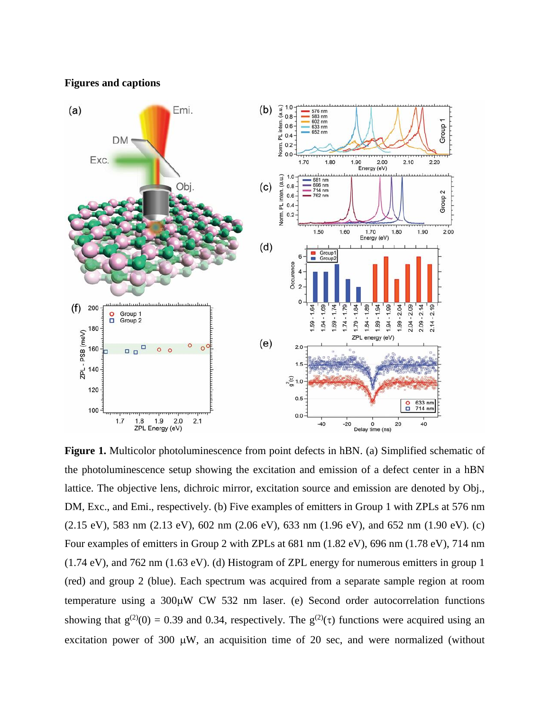**Figures and captions**



**Figure 1.** Multicolor photoluminescence from point defects in hBN. (a) Simplified schematic of the photoluminescence setup showing the excitation and emission of a defect center in a hBN lattice. The objective lens, dichroic mirror, excitation source and emission are denoted by Obj., DM, Exc., and Emi., respectively. (b) Five examples of emitters in Group 1 with ZPLs at 576 nm (2.15 eV), 583 nm (2.13 eV), 602 nm (2.06 eV), 633 nm (1.96 eV), and 652 nm (1.90 eV). (c) Four examples of emitters in Group 2 with ZPLs at 681 nm (1.82 eV), 696 nm (1.78 eV), 714 nm (1.74 eV), and 762 nm (1.63 eV). (d) Histogram of ZPL energy for numerous emitters in group 1 (red) and group 2 (blue). Each spectrum was acquired from a separate sample region at room temperature using a  $300\mu$ W CW 532 nm laser. (e) Second order autocorrelation functions showing that  $g^{(2)}(0) = 0.39$  and 0.34, respectively. The  $g^{(2)}(\tau)$  functions were acquired using an excitation power of 300  $\mu$ W, an acquisition time of 20 sec, and were normalized (without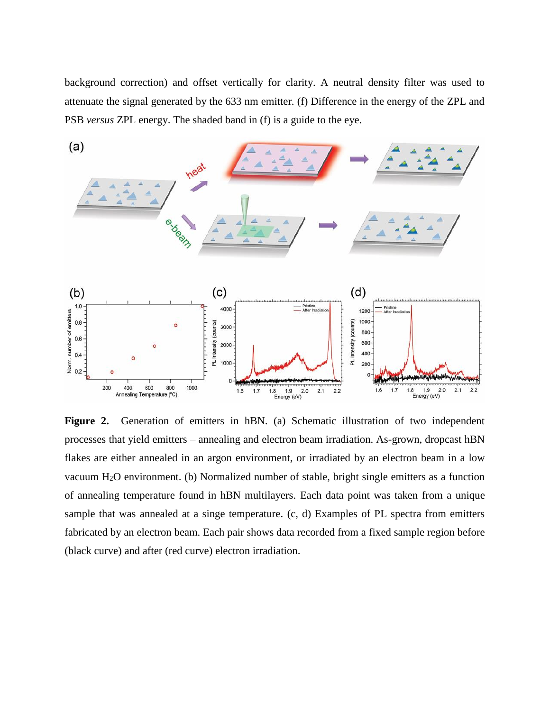background correction) and offset vertically for clarity. A neutral density filter was used to attenuate the signal generated by the 633 nm emitter. (f) Difference in the energy of the ZPL and PSB *versus* ZPL energy. The shaded band in (f) is a guide to the eye.



Figure 2. Generation of emitters in hBN. (a) Schematic illustration of two independent processes that yield emitters – annealing and electron beam irradiation. As-grown, dropcast hBN flakes are either annealed in an argon environment, or irradiated by an electron beam in a low vacuum H2O environment. (b) Normalized number of stable, bright single emitters as a function of annealing temperature found in hBN multilayers. Each data point was taken from a unique sample that was annealed at a singe temperature. (c, d) Examples of PL spectra from emitters fabricated by an electron beam. Each pair shows data recorded from a fixed sample region before (black curve) and after (red curve) electron irradiation.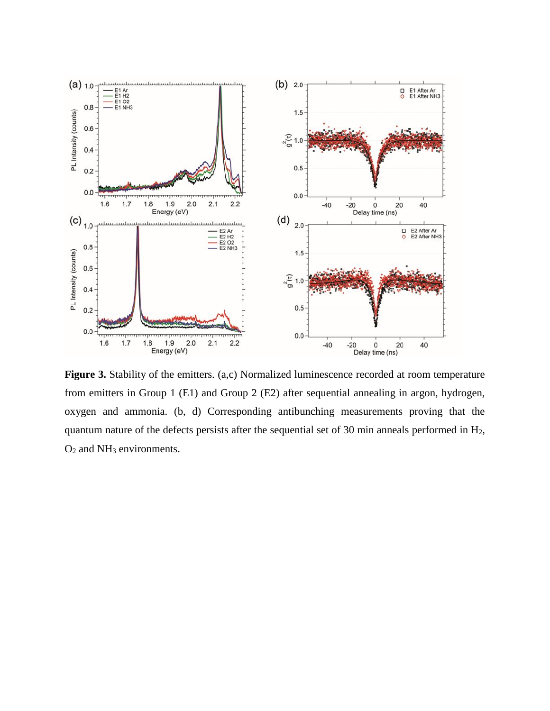

Figure 3. Stability of the emitters. (a,c) Normalized luminescence recorded at room temperature from emitters in Group 1 (E1) and Group 2 (E2) after sequential annealing in argon, hydrogen, oxygen and ammonia. (b, d) Corresponding antibunching measurements proving that the quantum nature of the defects persists after the sequential set of 30 min anneals performed in H2, O<sup>2</sup> and NH<sup>3</sup> environments.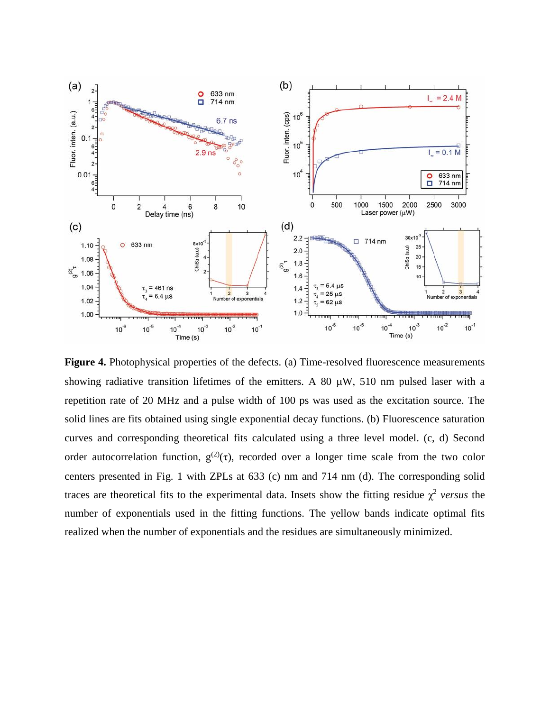

Figure 4. Photophysical properties of the defects. (a) Time-resolved fluorescence measurements showing radiative transition lifetimes of the emitters. A 80  $\mu$ W, 510 nm pulsed laser with a repetition rate of 20 MHz and a pulse width of 100 ps was used as the excitation source. The solid lines are fits obtained using single exponential decay functions. (b) Fluorescence saturation curves and corresponding theoretical fits calculated using a three level model. (c, d) Second order autocorrelation function,  $g^{(2)}(\tau)$ , recorded over a longer time scale from the two color centers presented in Fig. 1 with ZPLs at 633 (c) nm and 714 nm (d). The corresponding solid traces are theoretical fits to the experimental data. Insets show the fitting residue  $\chi^2$  versus the number of exponentials used in the fitting functions. The yellow bands indicate optimal fits realized when the number of exponentials and the residues are simultaneously minimized.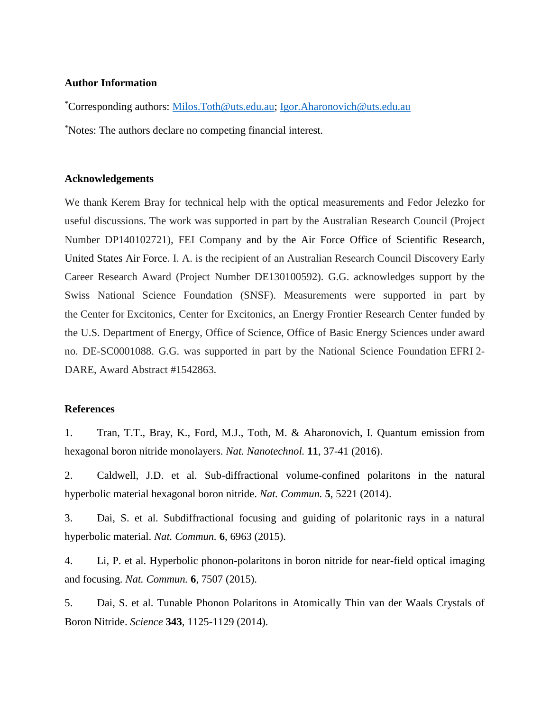#### **Author Information**

\*Corresponding authors: [Milos.Toth@uts.edu.au;](mailto:Milos.Toth@uts.edu.au) [Igor.Aharonovich@uts.edu.au](mailto:Igor.Aharonovich@uts.edu.au) \*Notes: The authors declare no competing financial interest.

## **Acknowledgements**

We thank Kerem Bray for technical help with the optical measurements and Fedor Jelezko for useful discussions. The work was supported in part by the Australian Research Council (Project Number DP140102721), FEI Company and by the Air Force Office of Scientific Research, United States Air Force. I. A. is the recipient of an Australian Research Council Discovery Early Career Research Award (Project Number DE130100592). G.G. acknowledges support by the Swiss National Science Foundation (SNSF). Measurements were supported in part by the Center for Excitonics, Center for Excitonics, an Energy Frontier Research Center funded by the U.S. Department of Energy, Office of Science, Office of Basic Energy Sciences under award no. DE-SC0001088. G.G. was supported in part by the National Science Foundation EFRI 2- DARE, Award Abstract #1542863.

## **References**

1. Tran, T.T., Bray, K., Ford, M.J., Toth, M. & Aharonovich, I. Quantum emission from hexagonal boron nitride monolayers. *Nat. Nanotechnol.* **11**, 37-41 (2016).

2. Caldwell, J.D. et al. Sub-diffractional volume-confined polaritons in the natural hyperbolic material hexagonal boron nitride. *Nat. Commun.* **5**, 5221 (2014).

3. Dai, S. et al. Subdiffractional focusing and guiding of polaritonic rays in a natural hyperbolic material. *Nat. Commun.* **6**, 6963 (2015).

4. Li, P. et al. Hyperbolic phonon-polaritons in boron nitride for near-field optical imaging and focusing. *Nat. Commun.* **6**, 7507 (2015).

5. Dai, S. et al. Tunable Phonon Polaritons in Atomically Thin van der Waals Crystals of Boron Nitride. *Science* **343**, 1125-1129 (2014).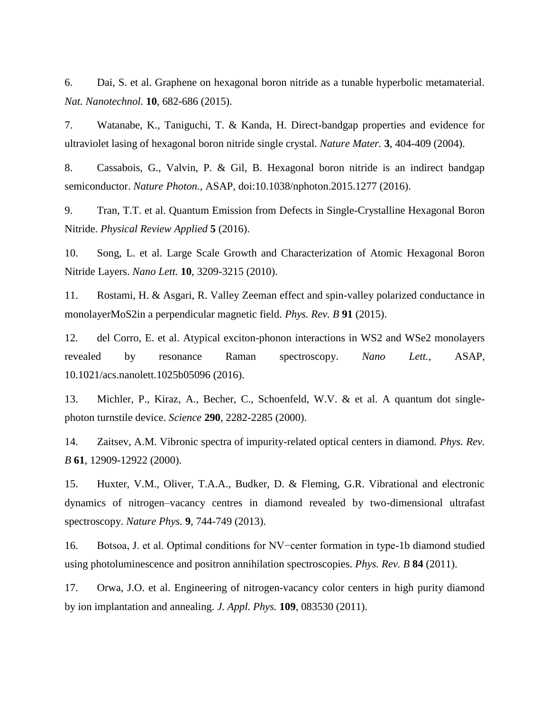6. Dai, S. et al. Graphene on hexagonal boron nitride as a tunable hyperbolic metamaterial. *Nat. Nanotechnol.* **10**, 682-686 (2015).

7. Watanabe, K., Taniguchi, T. & Kanda, H. Direct-bandgap properties and evidence for ultraviolet lasing of hexagonal boron nitride single crystal. *Nature Mater.* **3**, 404-409 (2004).

8. Cassabois, G., Valvin, P. & Gil, B. Hexagonal boron nitride is an indirect bandgap semiconductor. *Nature Photon.*, ASAP, doi:10.1038/nphoton.2015.1277 (2016).

9. Tran, T.T. et al. Quantum Emission from Defects in Single-Crystalline Hexagonal Boron Nitride. *Physical Review Applied* **5** (2016).

10. Song, L. et al. Large Scale Growth and Characterization of Atomic Hexagonal Boron Nitride Layers. *Nano Lett.* **10**, 3209-3215 (2010).

11. Rostami, H. & Asgari, R. Valley Zeeman effect and spin-valley polarized conductance in monolayerMoS2in a perpendicular magnetic field. *Phys. Rev. B* **91** (2015).

12. del Corro, E. et al. Atypical exciton-phonon interactions in WS2 and WSe2 monolayers revealed by resonance Raman spectroscopy. *Nano Lett.*, ASAP, 10.1021/acs.nanolett.1025b05096 (2016).

13. Michler, P., Kiraz, A., Becher, C., Schoenfeld, W.V. & et al. A quantum dot singlephoton turnstile device. *Science* **290**, 2282-2285 (2000).

14. Zaitsev, A.M. Vibronic spectra of impurity-related optical centers in diamond. *Phys. Rev. B* **61**, 12909-12922 (2000).

15. Huxter, V.M., Oliver, T.A.A., Budker, D. & Fleming, G.R. Vibrational and electronic dynamics of nitrogen–vacancy centres in diamond revealed by two-dimensional ultrafast spectroscopy. *Nature Phys.* **9**, 744-749 (2013).

16. Botsoa, J. et al. Optimal conditions for NV−center formation in type-1b diamond studied using photoluminescence and positron annihilation spectroscopies. *Phys. Rev. B* **84** (2011).

17. Orwa, J.O. et al. Engineering of nitrogen-vacancy color centers in high purity diamond by ion implantation and annealing. *J. Appl. Phys.* **109**, 083530 (2011).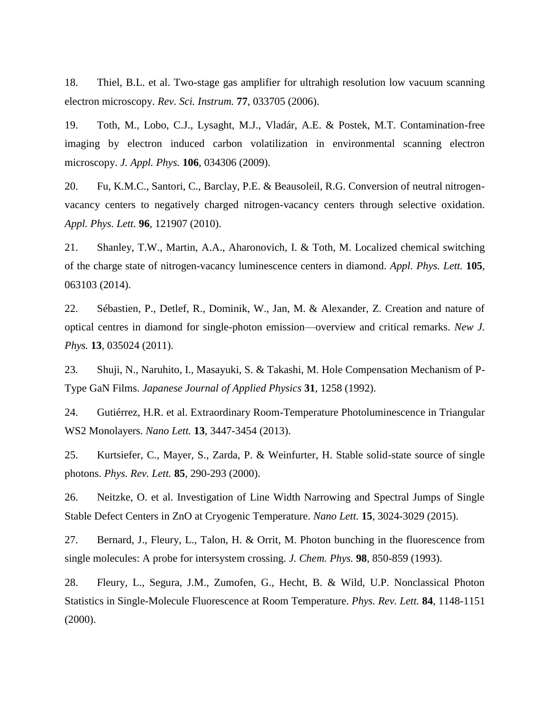18. Thiel, B.L. et al. Two-stage gas amplifier for ultrahigh resolution low vacuum scanning electron microscopy. *Rev. Sci. Instrum.* **77**, 033705 (2006).

19. Toth, M., Lobo, C.J., Lysaght, M.J., Vladár, A.E. & Postek, M.T. Contamination-free imaging by electron induced carbon volatilization in environmental scanning electron microscopy. *J. Appl. Phys.* **106**, 034306 (2009).

20. Fu, K.M.C., Santori, C., Barclay, P.E. & Beausoleil, R.G. Conversion of neutral nitrogenvacancy centers to negatively charged nitrogen-vacancy centers through selective oxidation. *Appl. Phys. Lett.* **96**, 121907 (2010).

21. Shanley, T.W., Martin, A.A., Aharonovich, I. & Toth, M. Localized chemical switching of the charge state of nitrogen-vacancy luminescence centers in diamond. *Appl. Phys. Lett.* **105**, 063103 (2014).

22. Sébastien, P., Detlef, R., Dominik, W., Jan, M. & Alexander, Z. Creation and nature of optical centres in diamond for single-photon emission—overview and critical remarks. *New J. Phys.* **13**, 035024 (2011).

23. Shuji, N., Naruhito, I., Masayuki, S. & Takashi, M. Hole Compensation Mechanism of P-Type GaN Films. *Japanese Journal of Applied Physics* **31**, 1258 (1992).

24. Gutiérrez, H.R. et al. Extraordinary Room-Temperature Photoluminescence in Triangular WS2 Monolayers. *Nano Lett.* **13**, 3447-3454 (2013).

25. Kurtsiefer, C., Mayer, S., Zarda, P. & Weinfurter, H. Stable solid-state source of single photons. *Phys. Rev. Lett.* **85**, 290-293 (2000).

26. Neitzke, O. et al. Investigation of Line Width Narrowing and Spectral Jumps of Single Stable Defect Centers in ZnO at Cryogenic Temperature. *Nano Lett.* **15**, 3024-3029 (2015).

27. Bernard, J., Fleury, L., Talon, H. & Orrit, M. Photon bunching in the fluorescence from single molecules: A probe for intersystem crossing. *J. Chem. Phys.* **98**, 850-859 (1993).

28. Fleury, L., Segura, J.M., Zumofen, G., Hecht, B. & Wild, U.P. Nonclassical Photon Statistics in Single-Molecule Fluorescence at Room Temperature. *Phys. Rev. Lett.* **84**, 1148-1151 (2000).